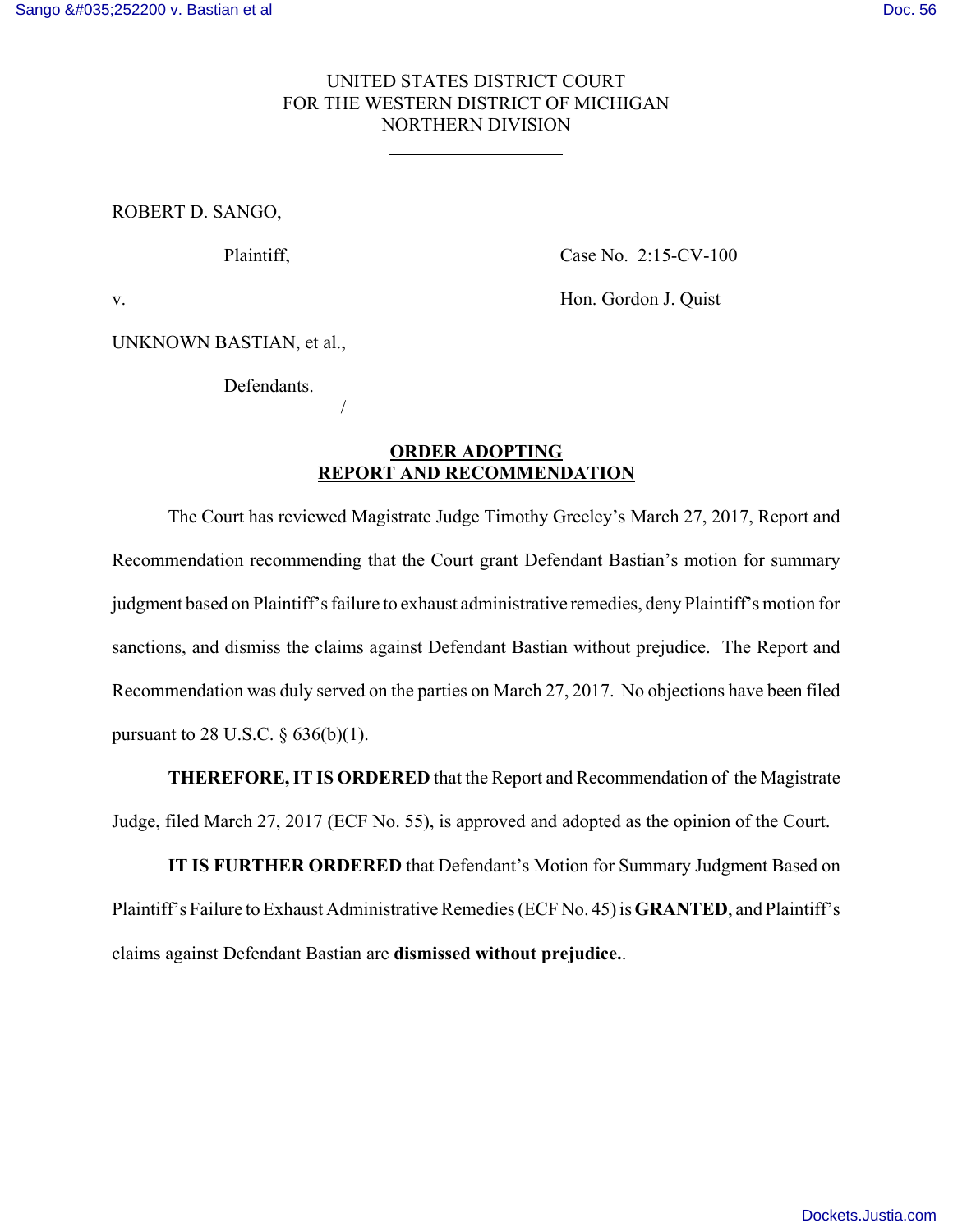## UNITED STATES DISTRICT COURT FOR THE WESTERN DISTRICT OF MICHIGAN NORTHERN DIVISION

 $\overline{a}$ 

ROBERT D. SANGO,

Plaintiff, Case No. 2:15-CV-100

v. Hon. Gordon J. Quist

UNKNOWN BASTIAN, et al.,

Defendants.

<u>/</u>

## **ORDER ADOPTING REPORT AND RECOMMENDATION**

The Court has reviewed Magistrate Judge Timothy Greeley's March 27, 2017, Report and Recommendation recommending that the Court grant Defendant Bastian's motion for summary judgment based on Plaintiff's failure to exhaust administrative remedies, deny Plaintiff's motion for sanctions, and dismiss the claims against Defendant Bastian without prejudice. The Report and Recommendation was duly served on the parties on March 27, 2017. No objections have been filed pursuant to 28 U.S.C.  $\S 636(b)(1)$ .

**THEREFORE, IT IS ORDERED** that the Report and Recommendation of the Magistrate Judge, filed March 27, 2017 (ECF No. 55), is approved and adopted as the opinion of the Court.

**IT IS FURTHER ORDERED** that Defendant's Motion for Summary Judgment Based on Plaintiff's Failure to Exhaust Administrative Remedies (ECF No. 45) is **GRANTED**, and Plaintiff's claims against Defendant Bastian are **dismissed without prejudice.**.